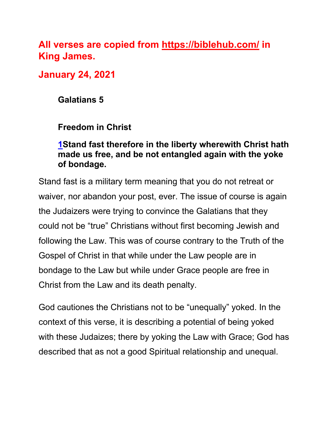# **All verses are copied from https://biblehub.com/ in King James.**

**January 24, 2021**

**Galatians 5** 

# **Freedom in Christ**

### **1Stand fast therefore in the liberty wherewith Christ hath made us free, and be not entangled again with the yoke of bondage.**

Stand fast is a military term meaning that you do not retreat or waiver, nor abandon your post, ever. The issue of course is again the Judaizers were trying to convince the Galatians that they could not be "true" Christians without first becoming Jewish and following the Law. This was of course contrary to the Truth of the Gospel of Christ in that while under the Law people are in bondage to the Law but while under Grace people are free in Christ from the Law and its death penalty.

God cautiones the Christians not to be "unequally" yoked. In the context of this verse, it is describing a potential of being yoked with these Judaizes; there by yoking the Law with Grace; God has described that as not a good Spiritual relationship and unequal.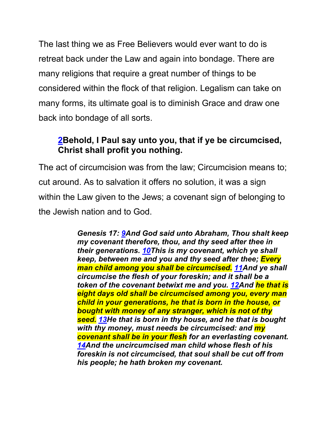The last thing we as Free Believers would ever want to do is retreat back under the Law and again into bondage. There are many religions that require a great number of things to be considered within the flock of that religion. Legalism can take on many forms, its ultimate goal is to diminish Grace and draw one back into bondage of all sorts.

# **2Behold, I Paul say unto you, that if ye be circumcised, Christ shall profit you nothing.**

The act of circumcision was from the law; Circumcision means to; cut around. As to salvation it offers no solution, it was a sign within the Law given to the Jews; a covenant sign of belonging to the Jewish nation and to God.

> *Genesis 17: 9And God said unto Abraham, Thou shalt keep my covenant therefore, thou, and thy seed after thee in their generations. 10This is my covenant, which ye shall keep, between me and you and thy seed after thee; Every man child among you shall be circumcised. 11And ye shall circumcise the flesh of your foreskin; and it shall be a token of the covenant betwixt me and you. 12And he that is eight days old shall be circumcised among you, every man child in your generations, he that is born in the house, or bought with money of any stranger, which is not of thy seed. 13He that is born in thy house, and he that is bought with thy money, must needs be circumcised: and my covenant shall be in your flesh for an everlasting covenant. 14And the uncircumcised man child whose flesh of his foreskin is not circumcised, that soul shall be cut off from his people; he hath broken my covenant.*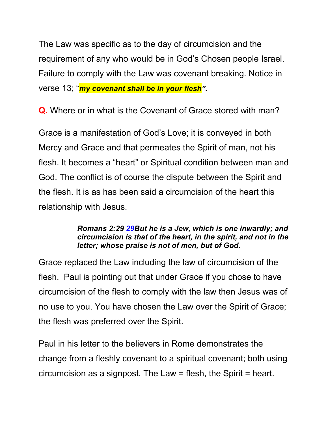The Law was specific as to the day of circumcision and the requirement of any who would be in God's Chosen people Israel. Failure to comply with the Law was covenant breaking. Notice in verse 13; "*my covenant shall be in your flesh".* 

**Q.** Where or in what is the Covenant of Grace stored with man?

Grace is a manifestation of God's Love; it is conveyed in both Mercy and Grace and that permeates the Spirit of man, not his flesh. It becomes a "heart" or Spiritual condition between man and God. The conflict is of course the dispute between the Spirit and the flesh. It is as has been said a circumcision of the heart this relationship with Jesus.

#### *Romans 2:29 29But he is a Jew, which is one inwardly; and circumcision is that of the heart, in the spirit, and not in the letter; whose praise is not of men, but of God.*

Grace replaced the Law including the law of circumcision of the flesh. Paul is pointing out that under Grace if you chose to have circumcision of the flesh to comply with the law then Jesus was of no use to you. You have chosen the Law over the Spirit of Grace; the flesh was preferred over the Spirit.

Paul in his letter to the believers in Rome demonstrates the change from a fleshly covenant to a spiritual covenant; both using circumcision as a signpost. The Law = flesh, the Spirit = heart.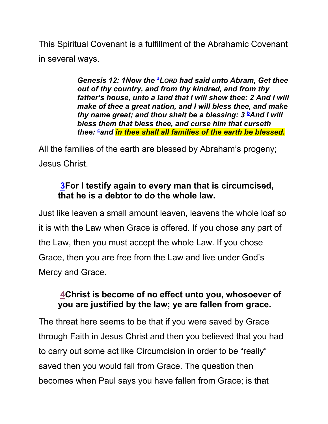This Spiritual Covenant is a fulfillment of the Abrahamic Covenant in several ways.

> *Genesis 12: 1Now the <sup>a</sup> LORD had said unto Abram, Get thee out of thy country, and from thy kindred, and from thy father's house, unto a land that I will shew thee: 2 And I will make of thee a great nation, and I will bless thee, and make thy name great; and thou shalt be a blessing: 3 <i>bAnd I will bless them that bless thee, and curse him that curseth thee: <sup>c</sup> and in thee shall all families of the earth be blessed.*

All the families of the earth are blessed by Abraham's progeny; Jesus Christ.

### **3For I testify again to every man that is circumcised, that he is a debtor to do the whole law.**

Just like leaven a small amount leaven, leavens the whole loaf so it is with the Law when Grace is offered. If you chose any part of the Law, then you must accept the whole Law. If you chose Grace, then you are free from the Law and live under God's Mercy and Grace.

### **4Christ is become of no effect unto you, whosoever of you are justified by the law; ye are fallen from grace.**

The threat here seems to be that if you were saved by Grace through Faith in Jesus Christ and then you believed that you had to carry out some act like Circumcision in order to be "really" saved then you would fall from Grace. The question then becomes when Paul says you have fallen from Grace; is that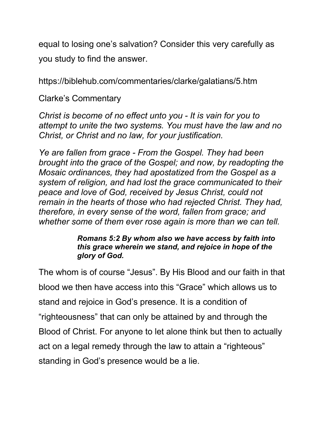equal to losing one's salvation? Consider this very carefully as you study to find the answer.

https://biblehub.com/commentaries/clarke/galatians/5.htm

Clarke's Commentary

*Christ is become of no effect unto you - It is vain for you to attempt to unite the two systems. You must have the law and no Christ, or Christ and no law, for your justification.*

*Ye are fallen from grace - From the Gospel. They had been brought into the grace of the Gospel; and now, by readopting the Mosaic ordinances, they had apostatized from the Gospel as a system of religion, and had lost the grace communicated to their peace and love of God, received by Jesus Christ, could not remain in the hearts of those who had rejected Christ. They had, therefore, in every sense of the word, fallen from grace; and whether some of them ever rose again is more than we can tell.* 

#### *Romans 5:2 By whom also we have access by faith into this grace wherein we stand, and rejoice in hope of the glory of God.*

The whom is of course "Jesus". By His Blood and our faith in that blood we then have access into this "Grace" which allows us to stand and rejoice in God's presence. It is a condition of "righteousness" that can only be attained by and through the Blood of Christ. For anyone to let alone think but then to actually act on a legal remedy through the law to attain a "righteous" standing in God's presence would be a lie.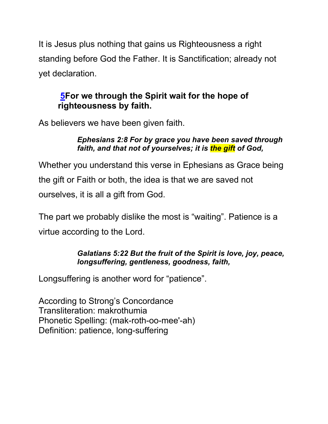It is Jesus plus nothing that gains us Righteousness a right standing before God the Father. It is Sanctification; already not yet declaration.

# **5For we through the Spirit wait for the hope of righteousness by faith.**

As believers we have been given faith.

#### *Ephesians 2:8 For by grace you have been saved through faith, and that not of yourselves; it is the gift of God,*

Whether you understand this verse in Ephesians as Grace being the gift or Faith or both, the idea is that we are saved not ourselves, it is all a gift from God.

The part we probably dislike the most is "waiting". Patience is a virtue according to the Lord.

#### *Galatians 5:22 But the fruit of the Spirit is love, joy, peace, longsuffering, gentleness, goodness, faith,*

Longsuffering is another word for "patience".

According to Strong's Concordance Transliteration: makrothumia Phonetic Spelling: (mak-roth-oo-mee'-ah) Definition: patience, long-suffering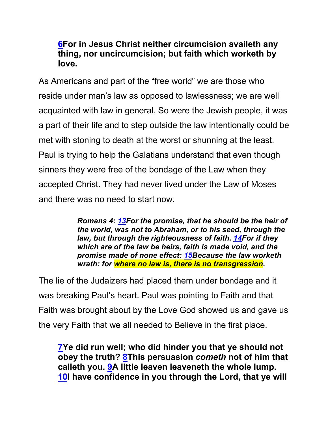### **6For in Jesus Christ neither circumcision availeth any thing, nor uncircumcision; but faith which worketh by love.**

As Americans and part of the "free world" we are those who reside under man's law as opposed to lawlessness; we are well acquainted with law in general. So were the Jewish people, it was a part of their life and to step outside the law intentionally could be met with stoning to death at the worst or shunning at the least. Paul is trying to help the Galatians understand that even though sinners they were free of the bondage of the Law when they accepted Christ. They had never lived under the Law of Moses and there was no need to start now.

> *Romans 4: 13For the promise, that he should be the heir of the world, was not to Abraham, or to his seed, through the law, but through the righteousness of faith. 14For if they which are of the law be heirs, faith is made void, and the promise made of none effect: 15Because the law worketh wrath: for where no law is, there is no transgression.*

The lie of the Judaizers had placed them under bondage and it was breaking Paul's heart. Paul was pointing to Faith and that Faith was brought about by the Love God showed us and gave us the very Faith that we all needed to Believe in the first place.

**7Ye did run well; who did hinder you that ye should not obey the truth? 8This persuasion** *cometh* **not of him that calleth you. 9A little leaven leaveneth the whole lump. 10I have confidence in you through the Lord, that ye will**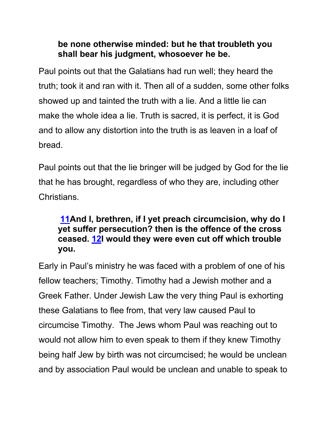### **be none otherwise minded: but he that troubleth you shall bear his judgment, whosoever he be.**

Paul points out that the Galatians had run well; they heard the truth; took it and ran with it. Then all of a sudden, some other folks showed up and tainted the truth with a lie. And a little lie can make the whole idea a lie. Truth is sacred, it is perfect, it is God and to allow any distortion into the truth is as leaven in a loaf of bread.

Paul points out that the lie bringer will be judged by God for the lie that he has brought, regardless of who they are, including other Christians.

# **11And I, brethren, if I yet preach circumcision, why do I yet suffer persecution? then is the offence of the cross ceased. 12I would they were even cut off which trouble you.**

Early in Paul's ministry he was faced with a problem of one of his fellow teachers; Timothy. Timothy had a Jewish mother and a Greek Father. Under Jewish Law the very thing Paul is exhorting these Galatians to flee from, that very law caused Paul to circumcise Timothy. The Jews whom Paul was reaching out to would not allow him to even speak to them if they knew Timothy being half Jew by birth was not circumcised; he would be unclean and by association Paul would be unclean and unable to speak to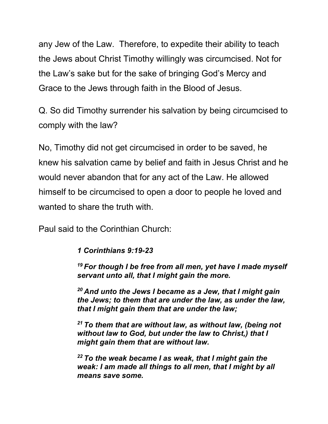any Jew of the Law. Therefore, to expedite their ability to teach the Jews about Christ Timothy willingly was circumcised. Not for the Law's sake but for the sake of bringing God's Mercy and Grace to the Jews through faith in the Blood of Jesus.

Q. So did Timothy surrender his salvation by being circumcised to comply with the law?

No, Timothy did not get circumcised in order to be saved, he knew his salvation came by belief and faith in Jesus Christ and he would never abandon that for any act of the Law. He allowed himself to be circumcised to open a door to people he loved and wanted to share the truth with.

Paul said to the Corinthian Church:

*1 Corinthians 9:19-23*

*<sup>19</sup> For though I be free from all men, yet have I made myself servant unto all, that I might gain the more.*

*<sup>20</sup> And unto the Jews I became as a Jew, that I might gain the Jews; to them that are under the law, as under the law, that I might gain them that are under the law;*

*<sup>21</sup> To them that are without law, as without law, (being not without law to God, but under the law to Christ,) that I might gain them that are without law.*

*<sup>22</sup> To the weak became I as weak, that I might gain the weak: I am made all things to all men, that I might by all means save some.*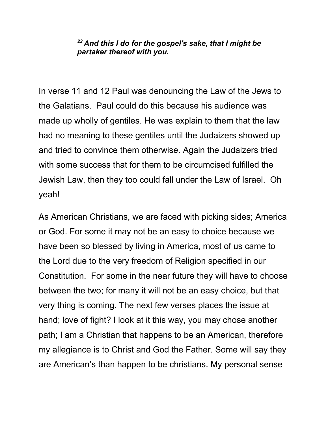#### *<sup>23</sup> And this I do for the gospel's sake, that I might be partaker thereof with you.*

In verse 11 and 12 Paul was denouncing the Law of the Jews to the Galatians. Paul could do this because his audience was made up wholly of gentiles. He was explain to them that the law had no meaning to these gentiles until the Judaizers showed up and tried to convince them otherwise. Again the Judaizers tried with some success that for them to be circumcised fulfilled the Jewish Law, then they too could fall under the Law of Israel. Oh yeah!

As American Christians, we are faced with picking sides; America or God. For some it may not be an easy to choice because we have been so blessed by living in America, most of us came to the Lord due to the very freedom of Religion specified in our Constitution. For some in the near future they will have to choose between the two; for many it will not be an easy choice, but that very thing is coming. The next few verses places the issue at hand; love of fight? I look at it this way, you may chose another path; I am a Christian that happens to be an American, therefore my allegiance is to Christ and God the Father. Some will say they are American's than happen to be christians. My personal sense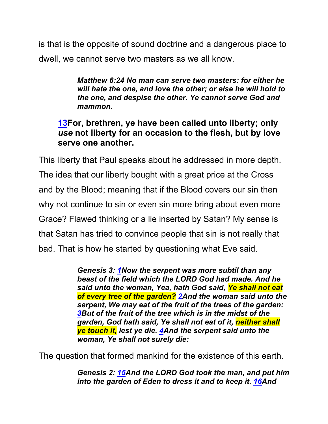is that is the opposite of sound doctrine and a dangerous place to dwell, we cannot serve two masters as we all know.

> *Matthew 6:24 No man can serve two masters: for either he will hate the one, and love the other; or else he will hold to the one, and despise the other. Ye cannot serve God and mammon.*

### **13For, brethren, ye have been called unto liberty; only**  *use* **not liberty for an occasion to the flesh, but by love serve one another.**

This liberty that Paul speaks about he addressed in more depth. The idea that our liberty bought with a great price at the Cross and by the Blood; meaning that if the Blood covers our sin then why not continue to sin or even sin more bring about even more Grace? Flawed thinking or a lie inserted by Satan? My sense is that Satan has tried to convince people that sin is not really that bad. That is how he started by questioning what Eve said.

> *Genesis 3: 1Now the serpent was more subtil than any beast of the field which the LORD God had made. And he said unto the woman, Yea, hath God said, Ye shall not eat of every tree of the garden? 2And the woman said unto the serpent, We may eat of the fruit of the trees of the garden: 3But of the fruit of the tree which is in the midst of the garden, God hath said, Ye shall not eat of it, neither shall ye touch it, lest ye die. 4And the serpent said unto the woman, Ye shall not surely die:*

The question that formed mankind for the existence of this earth.

*Genesis 2: 15And the LORD God took the man, and put him into the garden of Eden to dress it and to keep it. 16And*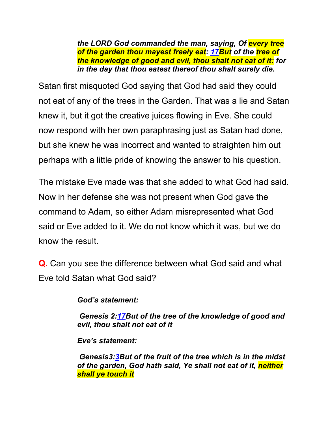*the LORD God commanded the man, saying, Of every tree of the garden thou mayest freely eat: 17But of the tree of the knowledge of good and evil, thou shalt not eat of it: for in the day that thou eatest thereof thou shalt surely die.*

Satan first misquoted God saying that God had said they could not eat of any of the trees in the Garden. That was a lie and Satan knew it, but it got the creative juices flowing in Eve. She could now respond with her own paraphrasing just as Satan had done, but she knew he was incorrect and wanted to straighten him out perhaps with a little pride of knowing the answer to his question.

The mistake Eve made was that she added to what God had said. Now in her defense she was not present when God gave the command to Adam, so either Adam misrepresented what God said or Eve added to it. We do not know which it was, but we do know the result.

**Q.** Can you see the difference between what God said and what Eve told Satan what God said?

*God's statement:*

*Genesis 2:17But of the tree of the knowledge of good and evil, thou shalt not eat of it*

*Eve's statement:*

*Genesis3:3But of the fruit of the tree which is in the midst of the garden, God hath said, Ye shall not eat of it, neither shall ye touch it*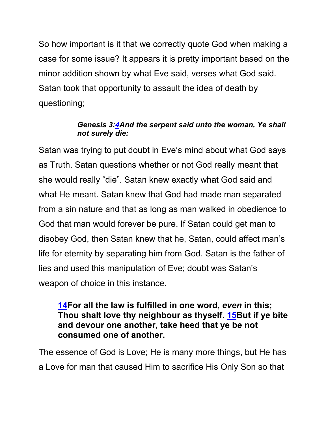So how important is it that we correctly quote God when making a case for some issue? It appears it is pretty important based on the minor addition shown by what Eve said, verses what God said. Satan took that opportunity to assault the idea of death by questioning;

#### *Genesis 3:4And the serpent said unto the woman, Ye shall not surely die:*

Satan was trying to put doubt in Eve's mind about what God says as Truth. Satan questions whether or not God really meant that she would really "die". Satan knew exactly what God said and what He meant. Satan knew that God had made man separated from a sin nature and that as long as man walked in obedience to God that man would forever be pure. If Satan could get man to disobey God, then Satan knew that he, Satan, could affect man's life for eternity by separating him from God. Satan is the father of lies and used this manipulation of Eve; doubt was Satan's weapon of choice in this instance.

### **14For all the law is fulfilled in one word,** *even* **in this; Thou shalt love thy neighbour as thyself. 15But if ye bite and devour one another, take heed that ye be not consumed one of another.**

The essence of God is Love; He is many more things, but He has a Love for man that caused Him to sacrifice His Only Son so that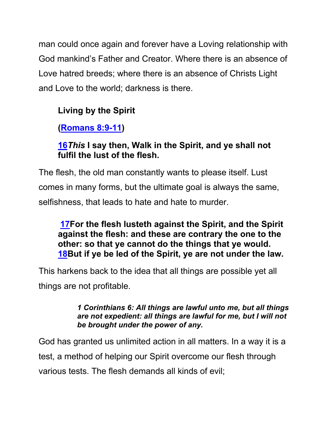man could once again and forever have a Loving relationship with God mankind's Father and Creator. Where there is an absence of Love hatred breeds; where there is an absence of Christs Light and Love to the world; darkness is there.

# **Living by the Spirit**

**(Romans 8:9-11)**

# **16***This* **I say then, Walk in the Spirit, and ye shall not fulfil the lust of the flesh.**

The flesh, the old man constantly wants to please itself. Lust comes in many forms, but the ultimate goal is always the same, selfishness, that leads to hate and hate to murder.

### **17For the flesh lusteth against the Spirit, and the Spirit against the flesh: and these are contrary the one to the other: so that ye cannot do the things that ye would. 18But if ye be led of the Spirit, ye are not under the law.**

This harkens back to the idea that all things are possible yet all things are not profitable.

#### *1 Corinthians 6: All things are lawful unto me, but all things are not expedient: all things are lawful for me, but I will not be brought under the power of any.*

God has granted us unlimited action in all matters. In a way it is a test, a method of helping our Spirit overcome our flesh through various tests. The flesh demands all kinds of evil;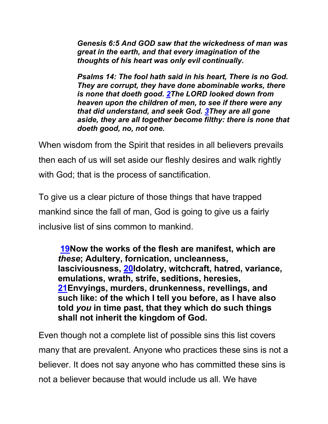*Genesis 6:5 And GOD saw that the wickedness of man was great in the earth, and that every imagination of the thoughts of his heart was only evil continually.*

*Psalms 14: The fool hath said in his heart, There is no God. They are corrupt, they have done abominable works, there is none that doeth good. 2The LORD looked down from heaven upon the children of men, to see if there were any that did understand, and seek God. 3They are all gone aside, they are all together become filthy: there is none that doeth good, no, not one.*

When wisdom from the Spirit that resides in all believers prevails then each of us will set aside our fleshly desires and walk rightly with God; that is the process of sanctification.

To give us a clear picture of those things that have trapped mankind since the fall of man, God is going to give us a fairly inclusive list of sins common to mankind.

**19Now the works of the flesh are manifest, which are**  *these***; Adultery, fornication, uncleanness, lasciviousness, 20Idolatry, witchcraft, hatred, variance, emulations, wrath, strife, seditions, heresies, 21Envyings, murders, drunkenness, revellings, and such like: of the which I tell you before, as I have also told** *you* **in time past, that they which do such things shall not inherit the kingdom of God.**

Even though not a complete list of possible sins this list covers many that are prevalent. Anyone who practices these sins is not a believer. It does not say anyone who has committed these sins is not a believer because that would include us all. We have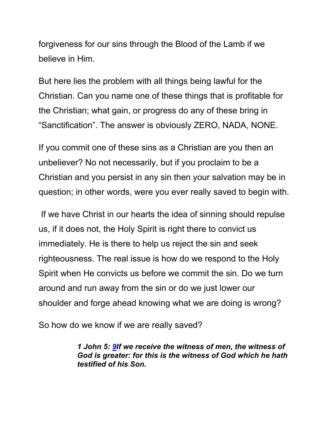forgiveness for our sins through the Blood of the Lamb if we believe in Him.

But here lies the problem with all things being lawful for the Christian. Can you name one of these things that is profitable for the Christian; what gain, or progress do any of these bring in "Sanctification". The answer is obviously ZERO, NADA, NONE.

If you commit one of these sins as a Christian are you then an unbeliever? No not necessarily, but if you proclaim to be a Christian and you persist in any sin then your salvation may be in question; in other words, were you ever really saved to begin with.

If we have Christ in our hearts the idea of sinning should repulse us, if it does not, the Holy Spirit is right there to convict us immediately. He is there to help us reject the sin and seek righteousness. The real issue is how do we respond to the Holy Spirit when He convicts us before we commit the sin. Do we turn around and run away from the sin or do we just lower our shoulder and forge ahead knowing what we are doing is wrong?

So how do we know if we are really saved?

*1 John 5: 9If we receive the witness of men, the witness of God is greater: for this is the witness of God which he hath testified of his Son.*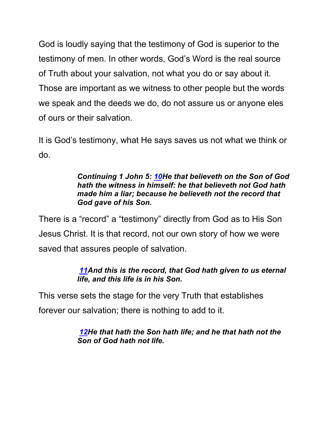God is loudly saying that the testimony of God is superior to the testimony of men. In other words, God's Word is the real source of Truth about your salvation, not what you do or say about it. Those are important as we witness to other people but the words we speak and the deeds we do, do not assure us or anyone eles of ours or their salvation.

It is God's testimony, what He says saves us not what we think or do.

#### *Continuing 1 John 5: 10He that believeth on the Son of God hath the witness in himself: he that believeth not God hath made him a liar; because he believeth not the record that God gave of his Son.*

There is a "record" a "testimony" directly from God as to His Son Jesus Christ. It is that record, not our own story of how we were saved that assures people of salvation.

#### *11And this is the record, that God hath given to us eternal life, and this life is in his Son.*

This verse sets the stage for the very Truth that establishes forever our salvation; there is nothing to add to it.

> *12He that hath the Son hath life; and he that hath not the Son of God hath not life.*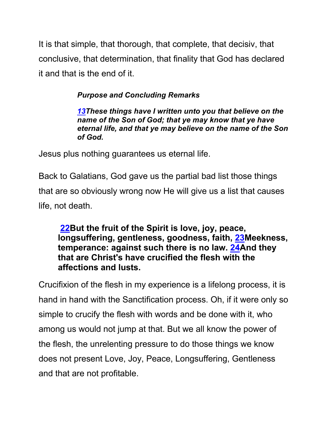It is that simple, that thorough, that complete, that decisiv, that conclusive, that determination, that finality that God has declared it and that is the end of it.

### *Purpose and Concluding Remarks*

*13These things have I written unto you that believe on the name of the Son of God; that ye may know that ye have eternal life, and that ye may believe on the name of the Son of God.* 

Jesus plus nothing guarantees us eternal life.

Back to Galatians, God gave us the partial bad list those things that are so obviously wrong now He will give us a list that causes life, not death.

### **22But the fruit of the Spirit is love, joy, peace, longsuffering, gentleness, goodness, faith, 23Meekness, temperance: against such there is no law. 24And they that are Christ's have crucified the flesh with the affections and lusts.**

Crucifixion of the flesh in my experience is a lifelong process, it is hand in hand with the Sanctification process. Oh, if it were only so simple to crucify the flesh with words and be done with it, who among us would not jump at that. But we all know the power of the flesh, the unrelenting pressure to do those things we know does not present Love, Joy, Peace, Longsuffering, Gentleness and that are not profitable.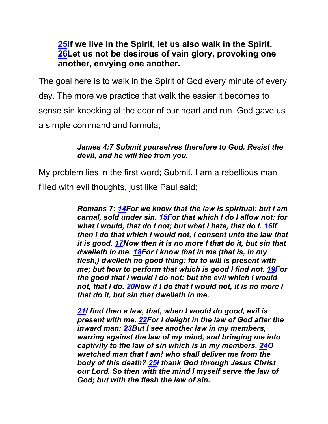### **25If we live in the Spirit, let us also walk in the Spirit. 26Let us not be desirous of vain glory, provoking one another, envying one another.**

The goal here is to walk in the Spirit of God every minute of every day. The more we practice that walk the easier it becomes to sense sin knocking at the door of our heart and run. God gave us a simple command and formula;

#### *James 4:7 Submit yourselves therefore to God. Resist the devil, and he will flee from you.*

My problem lies in the first word; Submit. I am a rebellious man filled with evil thoughts, just like Paul said;

> *Romans 7: 14For we know that the law is spiritual: but I am carnal, sold under sin. 15For that which I do I allow not: for what I would, that do I not; but what I hate, that do I. 16If then I do that which I would not, I consent unto the law that it is good. 17Now then it is no more I that do it, but sin that dwelleth in me. 18For I know that in me (that is, in my flesh,) dwelleth no good thing: for to will is present with me; but how to perform that which is good I find not. 19For the good that I would I do not: but the evil which I would not, that I do. 20Now if I do that I would not, it is no more I that do it, but sin that dwelleth in me.*

*21I find then a law, that, when I would do good, evil is present with me. 22For I delight in the law of God after the inward man: 23But I see another law in my members, warring against the law of my mind, and bringing me into captivity to the law of sin which is in my members. 24O wretched man that I am! who shall deliver me from the body of this death? 25I thank God through Jesus Christ our Lord. So then with the mind I myself serve the law of God; but with the flesh the law of sin.*